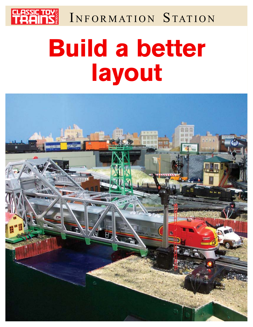

INFORMATION STATION

# **Build a better layout**

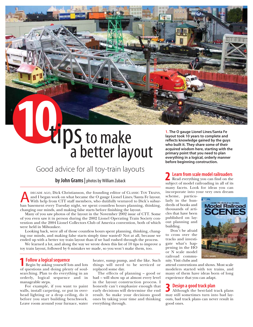# 10tipS to make a better layout

# Good advice for all toy-train layouts

# by John Grams | photos by William Zuback

DECADE AGO, Dick Christianson, the founding editor of CLASSIC TOY TRAINS, and I began work on what became the O gauge Lionel Lines/Santa Fe layout.<br>With help from CTT staff members, who dutifully ventured to Dick's subur-<br> and I began work on what became the O gauge Lionel Lines/Santa Fe layout. ban basement every Tuesday night, we spent countless hours planning, thinking, changing our minds, and making false starts before finishing the layout.

Many of you saw photos of the layout in the November 2002 issue of CTT. Some of you even saw it in person during the 2002 Lionel Operating Train Society convention and the 2004 Lionel Collectors Club of America convention, both of which were held in Milwaukee.

Looking back, were all of those countless hours spent planning, thinking, changing our minds, and making false starts simply time wasted? Not at all, because we ended up with a better toy train layout than if we had rushed through the process.

We learned a lot, and along the way we wrote down this list of 10 tips to improve a toy train layout, followed by 6 mistakes we made, so you won't make them, too.

# Follow a logical sequence

Begin by asking yourself lots and lots **Follow a logical sequence**<br>Begin by asking yourself lots and lots<br>of questions and doing plenty of soulsearching. Plan to do everything in an orderly, logical sequence and in manageable steps.

For example, if you want to paint walls, install carpeting, or put in overhead lighting or a drop ceiling, do it before you start building benchwork. Leave room around your furnace, water

heater, sump pump, and the like. Such things will need to be serviced or replaced some day.

The effects of planning – good or bad – will show up at almost every level in the layout construction process. I honestly can't emphasize enough that early decisions will determine the end result. So make your decisions good ones by taking your time and thinking everything through.

1. The O gauge Lionel Lines/Santa Fe layout took 10 years to complete and reflects knowledge gained by the guys who built it. They share some of their acquired wisdom here, starting with the primary point that you need to plan everything in a logical, orderly manner before beginning construction.

Learn from scale model railroaders

Read everything you can find on the **2 Learn from scale model railroaders**<br>Read everything you can find on the<br>subject of model railroading in all of its many facets. Look for ideas you can incorporate into your very own dream

scheme, particularly in the hundreds of books and thousands of articles that have been published on layout planning and building.

Don't be afraid to cross over the tracks and investigate what's happening in the HO or N scale model railroad community. Visit clubs and

attend conventions and shows. Most scale modelers started with toy trains, and many of them have ideas born of long experience that you can adapt.

# Design a good track plan

Although the best-laid track plans **3 Design a good track plan**<br>Although the best-laid track plans<br>may still sometimes turn into bad layouts, bad track plans can never result in good ones.

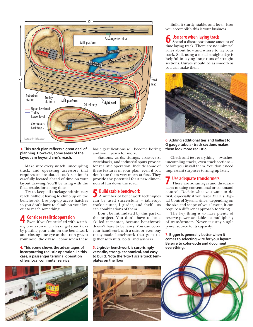

# 3. This track plan reflects a great deal of planning. However, some areas of the layout are beyond arm's reach.

Make sure every switch, uncoupling track, and operating accessory that requires an insulated track section is carefully located ahead of time on your layout drawing. You'll be living with the final results for a long time.

Try to keep all trackage within easy reach, without having to climb up on the benchwork. Use pop-up access hatches so you don't have to climb on your layout to reach something.

# Consider realistic operation

**4 Consider realistic operation**<br>Even if you're satisfied with watching trains run in circles or get your kicks by putting your chin on the benchwork and closing one eye as the train grazes your nose, the day will come when these

4. This scene shows the advantages of incorporating realistic operation. In this case, a passenger terminal operation offers local commuter service.



basic gratifications will become boring and you'll yearn for more.

Stations, yards, sidings, crossovers, switchbacks, and industrial spurs provide for realistic operation. Include some of these features in your plan, even if you don't use them very much at first. They provide the potential for a new dimension of fun down the road.

5 Build stable benchwork<br>A number of benchwork A number of benchwork techniques can be used successfully – tabletop, cookie-cutter, L-girder, and shelf – as can combinations of them.

Don't be intimidated by this part of the project. You don't have to be a skilled carpenter, because benchwork doesn't have to be fancy. You can cover your handiwork with a skirt or even buy ready-made benchwork that goes together with nuts, bolts, and washers.

5. L-girder benchwork is surprisingly versatile, strong, economical, and easy to build. Note the 1-to-1 scale track templates on the floor.



Build it sturdy, stable, and level. How you accomplish this is your business.

## Use care when laying track 6

Spend a disproportionate amount of time laying track. There are no universal rules about how and where to lay your track. Still, using a metal straightedge is helpful in laying long runs of straight sections. Curves should be as smooth as you can make them.



6. Adding additional ties and ballast to O gauge tubular track sections makes them look more realistic.

Check and test everything – switches, uncoupling tracks, even track sections – before you install them. You don't need unpleasant surprises turning up later.

# Use adequate transformers

There are advantages and disadvan-**1** Use adequate transformers<br>There are advantages and disadvan-<br>tages to using conventional or command control. Decide what you want to do first, especially if you favor MTH's Digital Control System, since, depending on the size and scope of your layout, it can require a different approach to wiring.

The key thing is to have plenty of reserve power available – a multiplicity of transformers. Never tax any single power source to its capacity.

7. Bigger is generally better when it comes to selecting wire for your layout. Be sure to color-code and document everything.

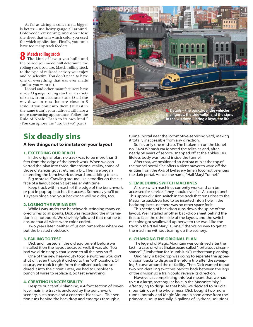As far as wiring is concerned, bigger is better – use heavy gauge all around. Color-code everything, and don't lose the sheet that tells which color you used for which application! Finally, you can't have too many track feeders.

# Match rolling stock 8

The kind of layout you build and the period you model will determine the rolling stock you use. Match rolling stock to the type of railroad activity you enjoy and be selective. You don't need to have one of everything that was ever made (unless you want to).

Lionel and other manufacturers have made O gauge rolling stock in a variety of sizes, from accurate scale O all the way down to cars that are close to S scale. If you don't mix them (at least in the same train), your railroad will have a more convincing appearance. Follow the Rule of Noah: "Each to its own kind." (You can ignore the "two by two" part.)



# Six deadly sins

# A few things not to imitate on your layout

# 1. EXCEEDING OUR REACH

In the original plan, no track was to be more than 3 feet from the edge of the benchwork. When we converted the plan into three-dimensional reality, some of those distances got stretched a bit. Then we began extending the benchwork outward and adding tracks.

Big mistake! Crawling around like a toddler on the surface of a layout doesn't get easier with time.

Keep track within reach of the edge of the benchwork, or put in pop-up hatches for access. Someday you'll be 10 years older, and your backbone will be older, too.

# 2. LOSING THE WIRING KEY

While I was under the benchwork, stringing many colored wires to all points, Dick was recording the information in a notebook. We slavishly followed that routine to ensure that all wires were color-coded.

Two years later, neither of us can remember where we put the blasted notebook.

# 3. FAILING TO TEST

Dick and I tested all the old equipment before we installed it on the layout because, well, it was old. Too bad we didn't apply that lesson to all the new stuff.

One of the new heavy-duty toggle switches wouldn't shut off, even though it clicked to the "off" position. Of course, we took it right from the blister pack and soldered it into the circuit. Later, we had to unsolder a bunch of wires to replace it. So test everything!

# 4. CREATING INACCESSIBILITY

Despite our careful planning, a 4-foot section of lowerlevel mainline track is enclosed by the benchwork, scenery, a staircase, and a concrete-block wall. This section runs behind the backdrop and emerges through a

tunnel portal near the locomotive-servicing yard, making it totally inaccessible from any direction.

So far, only one mishap. The brakeman on the Lionel no. 3424 Wabash car ignored the telltales and, after nearly 50 years of service, snapped off at the ankles. His lifeless body was found inside the tunnel.

After that, we positioned an Arttista nun at the top of the tunnel portal. She offers a silent prayer to ward off the entities from the Axis of Evil every time a locomotive enters the dark portal. Hence, the name, "Hail Mary! Tunnel."

# 5. EMBEDDING SWITCH MACHINES

All our switch machines currently work and can be accessed for service if they should ever fail. All except one! This upper-division switch in the track that runs close to the Masonite backdrop had to be inserted into a hole in the backdrop because there was no other space for it.

This section of backdrop runs down the spine of the layout. We installed another backdrop sheet behind the first to face the other side of the layout, and the switch machine got swallowed up between the two. Like the track in the "Hail Mary! Tunnel," there's no way to get at the machine without tearing up the scenery.

# 6. CHANGING THE ORIGINAL PLAN

The legend of Magic Mountain was contrived after the fact – a case of what Shakespeare called "fortuitous circumstance" (Elizabethan for "dumb luck"), rather than planning.

Originally, a backdrop was going to separate the upperdivision tracks to disguise the return trip after the sweeping S-curve around the oil facility. Then Dick wanted to put two non-derailing switches back to back between the legs of the division so a train could reverse its direction.

However, accomplishing this feat meant that we had to cut a large, rectangular hole in the Masonite "sky." After trying to disguise that hole, we decided to build a mountain over the whole mess. Dick bought two more tunnel portals, and Magic Mountain soon arose from the primordial soup (actually, 5 gallons of Hydrocal solution).